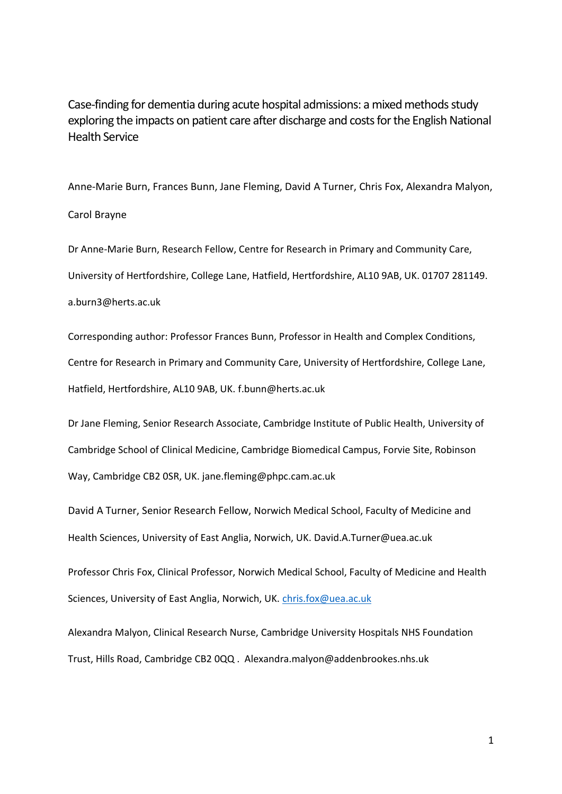Case-finding for dementia during acute hospital admissions: a mixed methods study exploring the impacts on patient care after discharge and costs for the English National Health Service

Anne-Marie Burn, Frances Bunn, Jane Fleming, David A Turner, Chris Fox, Alexandra Malyon, Carol Brayne

Dr Anne-Marie Burn, Research Fellow, Centre for Research in Primary and Community Care, University of Hertfordshire, College Lane, Hatfield, Hertfordshire, AL10 9AB, UK. 01707 281149.

a.burn3@herts.ac.uk

Corresponding author: Professor Frances Bunn, Professor in Health and Complex Conditions, Centre for Research in Primary and Community Care, University of Hertfordshire, College Lane, Hatfield, Hertfordshire, AL10 9AB, UK. f.bunn@herts.ac.uk

Dr Jane Fleming, Senior Research Associate, Cambridge Institute of Public Health, University of Cambridge School of Clinical Medicine, Cambridge Biomedical Campus, Forvie Site, Robinson Way, Cambridge CB2 0SR, UK. jane.fleming@phpc.cam.ac.uk

David A Turner, Senior Research Fellow, Norwich Medical School, Faculty of Medicine and Health Sciences, University of East Anglia, Norwich, UK. David.A.Turner@uea.ac.uk

Professor Chris Fox, Clinical Professor, Norwich Medical School, Faculty of Medicine and Health Sciences, University of East Anglia, Norwich, UK. [chris.fox@uea.ac.uk](mailto:chris.fox@uea.ac.uk)

Alexandra Malyon, Clinical Research Nurse, Cambridge University Hospitals NHS Foundation Trust, Hills Road, Cambridge CB2 0QQ . Alexandra.malyon@addenbrookes.nhs.uk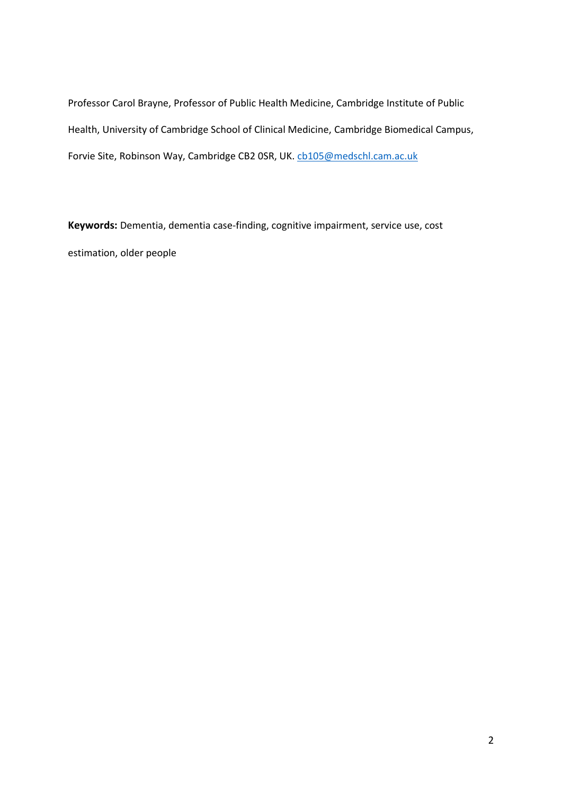Professor Carol Brayne, Professor of Public Health Medicine, Cambridge Institute of Public Health, University of Cambridge School of Clinical Medicine, Cambridge Biomedical Campus, Forvie Site, Robinson Way, Cambridge CB2 OSR, UK. [cb105@medschl.cam.ac.uk](mailto:cb105@medschl.cam.ac.uk)

**Keywords:** Dementia, dementia case-finding, cognitive impairment, service use, cost estimation, older people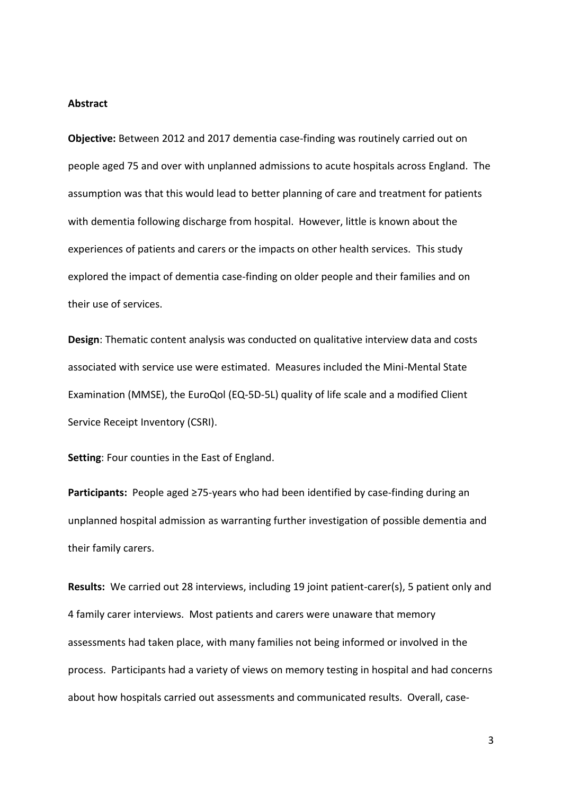#### **Abstract**

**Objective:** Between 2012 and 2017 dementia case-finding was routinely carried out on people aged 75 and over with unplanned admissions to acute hospitals across England. The assumption was that this would lead to better planning of care and treatment for patients with dementia following discharge from hospital. However, little is known about the experiences of patients and carers or the impacts on other health services. This study explored the impact of dementia case-finding on older people and their families and on their use of services.

**Design**: Thematic content analysis was conducted on qualitative interview data and costs associated with service use were estimated. Measures included the Mini-Mental State Examination (MMSE), the EuroQol (EQ-5D-5L) quality of life scale and a modified Client Service Receipt Inventory (CSRI).

**Setting**: Four counties in the East of England.

**Participants:** People aged ≥75-years who had been identified by case-finding during an unplanned hospital admission as warranting further investigation of possible dementia and their family carers.

**Results:** We carried out 28 interviews, including 19 joint patient-carer(s), 5 patient only and 4 family carer interviews. Most patients and carers were unaware that memory assessments had taken place, with many families not being informed or involved in the process. Participants had a variety of views on memory testing in hospital and had concerns about how hospitals carried out assessments and communicated results. Overall, case-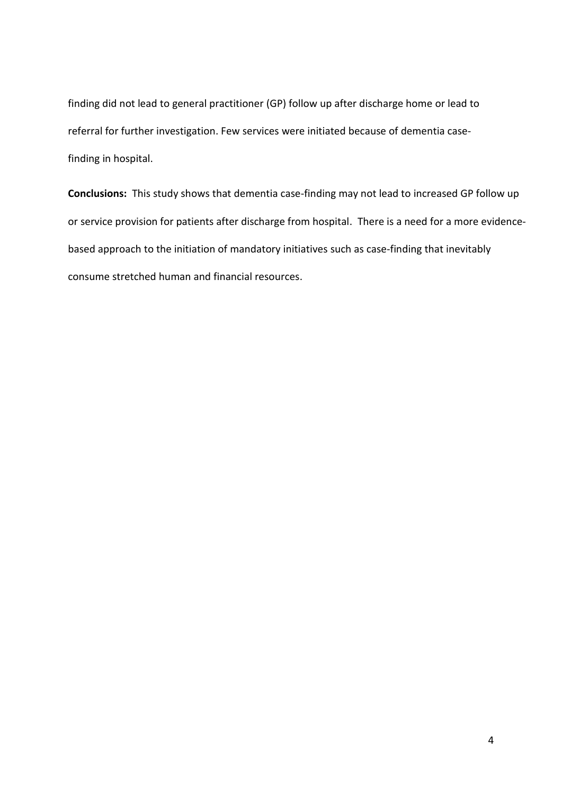finding did not lead to general practitioner (GP) follow up after discharge home or lead to referral for further investigation. Few services were initiated because of dementia casefinding in hospital.

**Conclusions:** This study shows that dementia case-finding may not lead to increased GP follow up or service provision for patients after discharge from hospital. There is a need for a more evidencebased approach to the initiation of mandatory initiatives such as case-finding that inevitably consume stretched human and financial resources.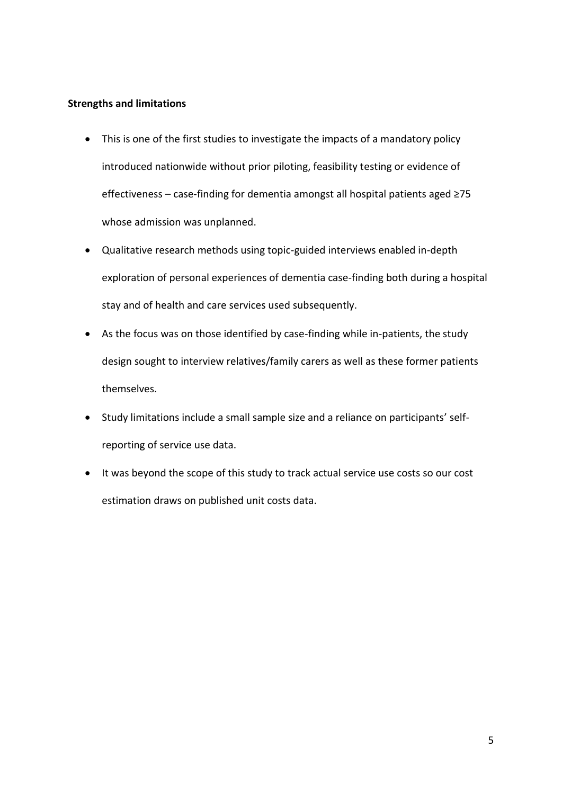# **Strengths and limitations**

- This is one of the first studies to investigate the impacts of a mandatory policy introduced nationwide without prior piloting, feasibility testing or evidence of effectiveness – case-finding for dementia amongst all hospital patients aged ≥75 whose admission was unplanned.
- Qualitative research methods using topic-guided interviews enabled in-depth exploration of personal experiences of dementia case-finding both during a hospital stay and of health and care services used subsequently.
- As the focus was on those identified by case-finding while in-patients, the study design sought to interview relatives/family carers as well as these former patients themselves.
- Study limitations include a small sample size and a reliance on participants' selfreporting of service use data.
- It was beyond the scope of this study to track actual service use costs so our cost estimation draws on published unit costs data.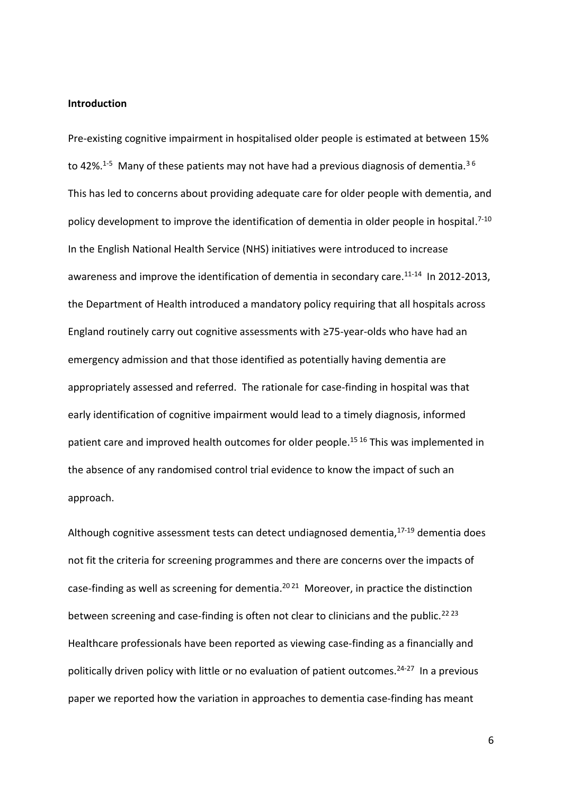#### **Introduction**

Pre-existing cognitive impairment in hospitalised older people is estimated at between 15% to 42%.<sup>1-5</sup> Many of these patients may not have had a previous diagnosis of dementia.<sup>36</sup> This has led to concerns about providing adequate care for older people with dementia, and policy development to improve the identification of dementia in older people in hospital.<sup>7-10</sup> In the English National Health Service (NHS) initiatives were introduced to increase awareness and improve the identification of dementia in secondary care.<sup>11-14</sup> In 2012-2013, the Department of Health introduced a mandatory policy requiring that all hospitals across England routinely carry out cognitive assessments with ≥75-year-olds who have had an emergency admission and that those identified as potentially having dementia are appropriately assessed and referred. The rationale for case-finding in hospital was that early identification of cognitive impairment would lead to a timely diagnosis, informed patient care and improved health outcomes for older people.<sup>15 16</sup> This was implemented in the absence of any randomised control trial evidence to know the impact of such an approach.

Although cognitive assessment tests can detect undiagnosed dementia,<sup>17-19</sup> dementia does not fit the criteria for screening programmes and there are concerns over the impacts of case-finding as well as screening for dementia.<sup>2021</sup> Moreover, in practice the distinction between screening and case-finding is often not clear to clinicians and the public.<sup>22 23</sup> Healthcare professionals have been reported as viewing case-finding as a financially and politically driven policy with little or no evaluation of patient outcomes. 24-27 In a previous paper we reported how the variation in approaches to dementia case-finding has meant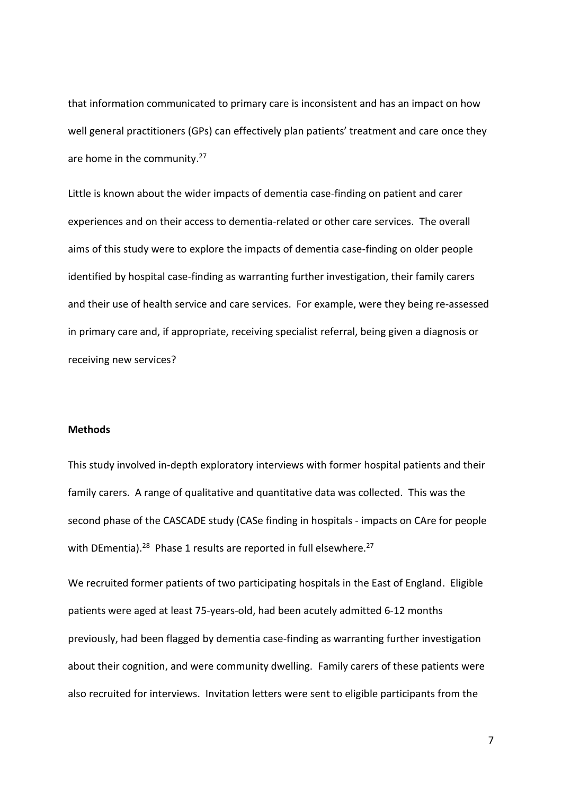that information communicated to primary care is inconsistent and has an impact on how well general practitioners (GPs) can effectively plan patients' treatment and care once they are home in the community.<sup>27</sup>

Little is known about the wider impacts of dementia case-finding on patient and carer experiences and on their access to dementia-related or other care services. The overall aims of this study were to explore the impacts of dementia case-finding on older people identified by hospital case-finding as warranting further investigation, their family carers and their use of health service and care services. For example, were they being re-assessed in primary care and, if appropriate, receiving specialist referral, being given a diagnosis or receiving new services?

## **Methods**

This study involved in-depth exploratory interviews with former hospital patients and their family carers. A range of qualitative and quantitative data was collected. This was the second phase of the CASCADE study (CASe finding in hospitals - impacts on CAre for people with DEmentia).<sup>28</sup> Phase 1 results are reported in full elsewhere.<sup>27</sup>

We recruited former patients of two participating hospitals in the East of England. Eligible patients were aged at least 75-years-old, had been acutely admitted 6-12 months previously, had been flagged by dementia case-finding as warranting further investigation about their cognition, and were community dwelling. Family carers of these patients were also recruited for interviews. Invitation letters were sent to eligible participants from the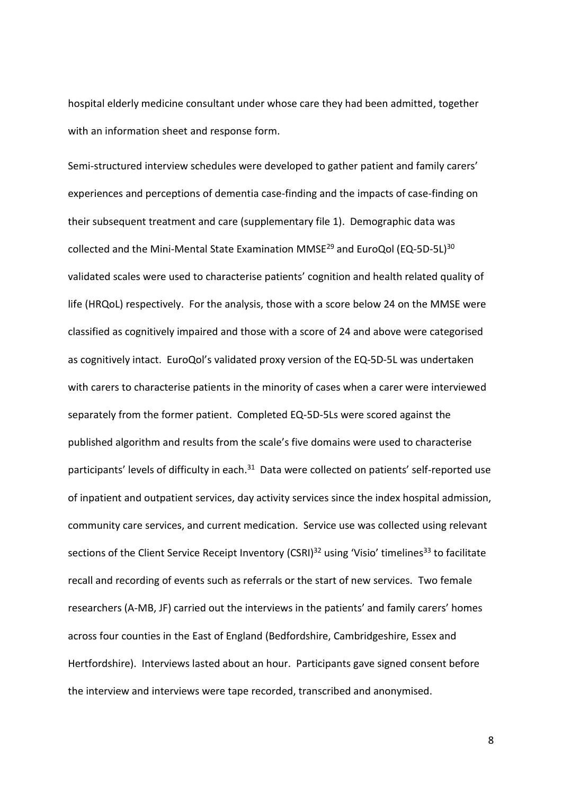hospital elderly medicine consultant under whose care they had been admitted, together with an information sheet and response form.

Semi-structured interview schedules were developed to gather patient and family carers' experiences and perceptions of dementia case-finding and the impacts of case-finding on their subsequent treatment and care (supplementary file 1). Demographic data was collected and the Mini-Mental State Examination MMSE<sup>29</sup> and EuroQol (EQ-5D-5L)<sup>30</sup> validated scales were used to characterise patients' cognition and health related quality of life (HRQoL) respectively. For the analysis, those with a score below 24 on the MMSE were classified as cognitively impaired and those with a score of 24 and above were categorised as cognitively intact. EuroQol's validated proxy version of the EQ-5D-5L was undertaken with carers to characterise patients in the minority of cases when a carer were interviewed separately from the former patient. Completed EQ-5D-5Ls were scored against the published algorithm and results from the scale's five domains were used to characterise participants' levels of difficulty in each.<sup>31</sup> Data were collected on patients' self-reported use of inpatient and outpatient services, day activity services since the index hospital admission, community care services, and current medication. Service use was collected using relevant sections of the Client Service Receipt Inventory (CSRI)<sup>32</sup> using 'Visio' timelines<sup>33</sup> to facilitate recall and recording of events such as referrals or the start of new services. Two female researchers (A-MB, JF) carried out the interviews in the patients' and family carers' homes across four counties in the East of England (Bedfordshire, Cambridgeshire, Essex and Hertfordshire). Interviews lasted about an hour. Participants gave signed consent before the interview and interviews were tape recorded, transcribed and anonymised.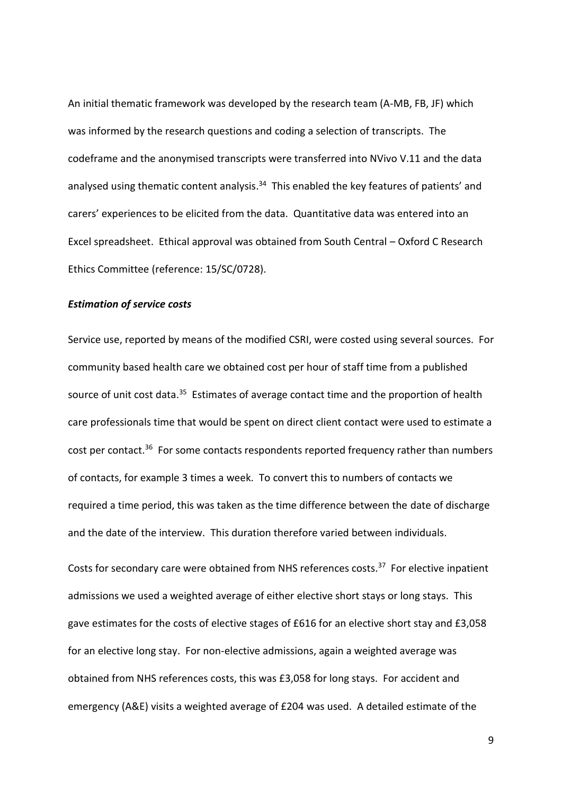An initial thematic framework was developed by the research team (A-MB, FB, JF) which was informed by the research questions and coding a selection of transcripts. The codeframe and the anonymised transcripts were transferred into NVivo V.11 and the data analysed using thematic content analysis.<sup>34</sup> This enabled the key features of patients' and carers' experiences to be elicited from the data. Quantitative data was entered into an Excel spreadsheet. Ethical approval was obtained from South Central – Oxford C Research Ethics Committee (reference: 15/SC/0728).

## *Estimation of service costs*

Service use, reported by means of the modified CSRI, were costed using several sources. For community based health care we obtained cost per hour of staff time from a published source of unit cost data.<sup>35</sup> Estimates of average contact time and the proportion of health care professionals time that would be spent on direct client contact were used to estimate a cost per contact.<sup>36</sup> For some contacts respondents reported frequency rather than numbers of contacts, for example 3 times a week. To convert this to numbers of contacts we required a time period, this was taken as the time difference between the date of discharge and the date of the interview. This duration therefore varied between individuals.

Costs for secondary care were obtained from NHS references costs. <sup>37</sup> For elective inpatient admissions we used a weighted average of either elective short stays or long stays. This gave estimates for the costs of elective stages of £616 for an elective short stay and £3,058 for an elective long stay. For non-elective admissions, again a weighted average was obtained from NHS references costs, this was £3,058 for long stays. For accident and emergency (A&E) visits a weighted average of £204 was used. A detailed estimate of the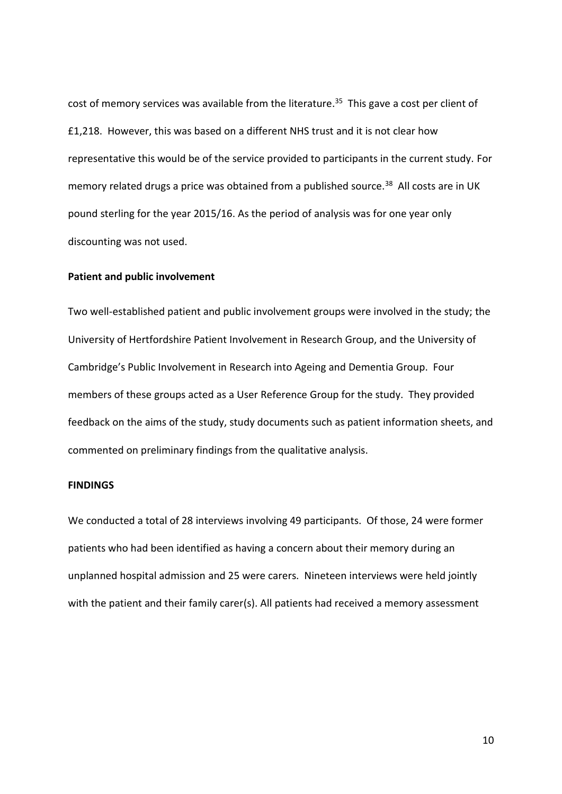cost of memory services was available from the literature. <sup>35</sup> This gave a cost per client of £1,218. However, this was based on a different NHS trust and it is not clear how representative this would be of the service provided to participants in the current study. For memory related drugs a price was obtained from a published source.<sup>38</sup> All costs are in UK pound sterling for the year 2015/16. As the period of analysis was for one year only discounting was not used.

## **Patient and public involvement**

Two well-established patient and public involvement groups were involved in the study; the University of Hertfordshire Patient Involvement in Research Group, and the University of Cambridge's Public Involvement in Research into Ageing and Dementia Group. Four members of these groups acted as a User Reference Group for the study. They provided feedback on the aims of the study, study documents such as patient information sheets, and commented on preliminary findings from the qualitative analysis.

## **FINDINGS**

We conducted a total of 28 interviews involving 49 participants. Of those, 24 were former patients who had been identified as having a concern about their memory during an unplanned hospital admission and 25 were carers. Nineteen interviews were held jointly with the patient and their family carer(s). All patients had received a memory assessment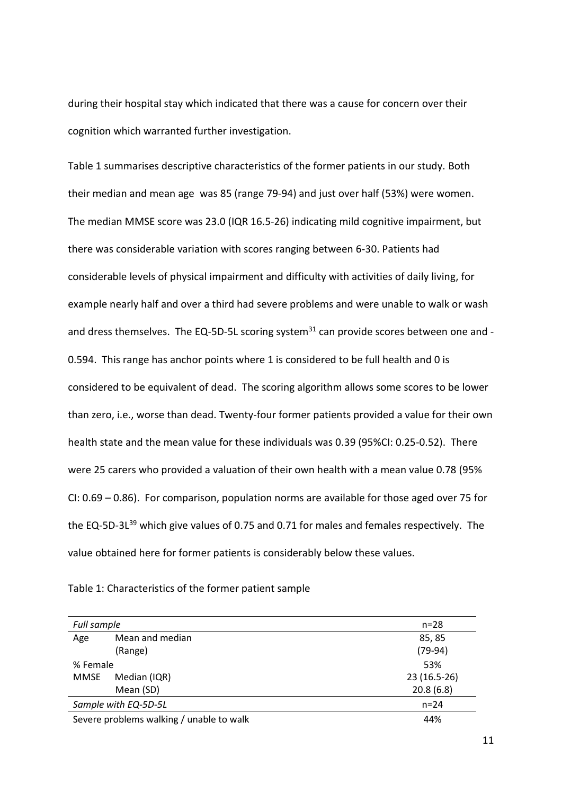during their hospital stay which indicated that there was a cause for concern over their cognition which warranted further investigation.

Table 1 summarises descriptive characteristics of the former patients in our study. Both their median and mean age was 85 (range 79-94) and just over half (53%) were women. The median MMSE score was 23.0 (IQR 16.5-26) indicating mild cognitive impairment, but there was considerable variation with scores ranging between 6-30. Patients had considerable levels of physical impairment and difficulty with activities of daily living, for example nearly half and over a third had severe problems and were unable to walk or wash and dress themselves. The EQ-5D-5L scoring system $31$  can provide scores between one and -0.594. This range has anchor points where 1 is considered to be full health and 0 is considered to be equivalent of dead. The scoring algorithm allows some scores to be lower than zero, i.e., worse than dead. Twenty-four former patients provided a value for their own health state and the mean value for these individuals was 0.39 (95%CI: 0.25-0.52). There were 25 carers who provided a valuation of their own health with a mean value 0.78 (95% CI: 0.69 – 0.86). For comparison, population norms are available for those aged over 75 for the EQ-5D-3L<sup>39</sup> which give values of 0.75 and 0.71 for males and females respectively. The value obtained here for former patients is considerably below these values.

| Full sample                              |                 | $n=28$       |
|------------------------------------------|-----------------|--------------|
| Age                                      | Mean and median | 85, 85       |
|                                          | (Range)         | $(79-94)$    |
| % Female                                 |                 | 53%          |
| MMSE                                     | Median (IQR)    | 23 (16.5-26) |
|                                          | Mean (SD)       | 20.8(6.8)    |
| Sample with EQ-5D-5L                     |                 | $n = 24$     |
| Severe problems walking / unable to walk |                 | 44%          |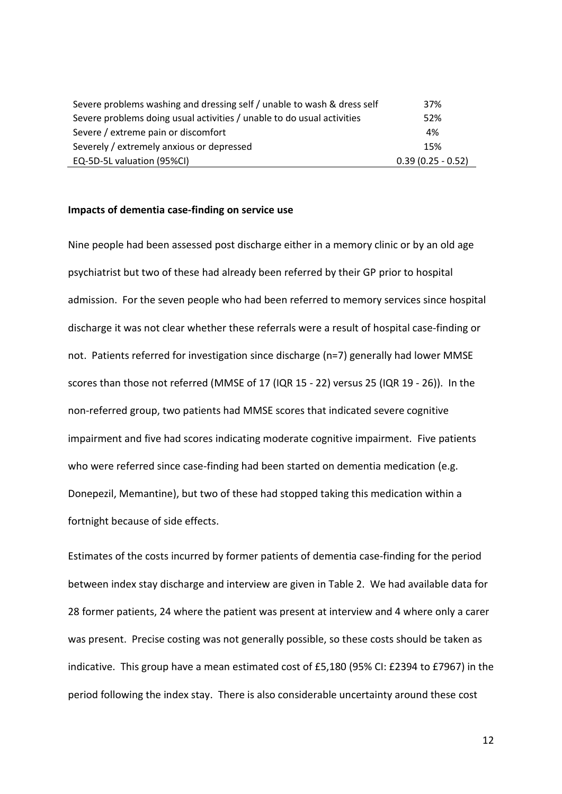| Severe problems washing and dressing self / unable to wash & dress self | 37%                 |
|-------------------------------------------------------------------------|---------------------|
| Severe problems doing usual activities / unable to do usual activities  | 52%                 |
| Severe / extreme pain or discomfort                                     | 4%                  |
| Severely / extremely anxious or depressed                               | 15%                 |
| EQ-5D-5L valuation (95%CI)                                              | $0.39(0.25 - 0.52)$ |

#### **Impacts of dementia case-finding on service use**

Nine people had been assessed post discharge either in a memory clinic or by an old age psychiatrist but two of these had already been referred by their GP prior to hospital admission. For the seven people who had been referred to memory services since hospital discharge it was not clear whether these referrals were a result of hospital case-finding or not. Patients referred for investigation since discharge (n=7) generally had lower MMSE scores than those not referred (MMSE of 17 (IQR 15 - 22) versus 25 (IQR 19 - 26)). In the non-referred group, two patients had MMSE scores that indicated severe cognitive impairment and five had scores indicating moderate cognitive impairment. Five patients who were referred since case-finding had been started on dementia medication (e.g. Donepezil, Memantine), but two of these had stopped taking this medication within a fortnight because of side effects.

Estimates of the costs incurred by former patients of dementia case-finding for the period between index stay discharge and interview are given in Table 2. We had available data for 28 former patients, 24 where the patient was present at interview and 4 where only a carer was present. Precise costing was not generally possible, so these costs should be taken as indicative. This group have a mean estimated cost of £5,180 (95% CI: £2394 to £7967) in the period following the index stay. There is also considerable uncertainty around these cost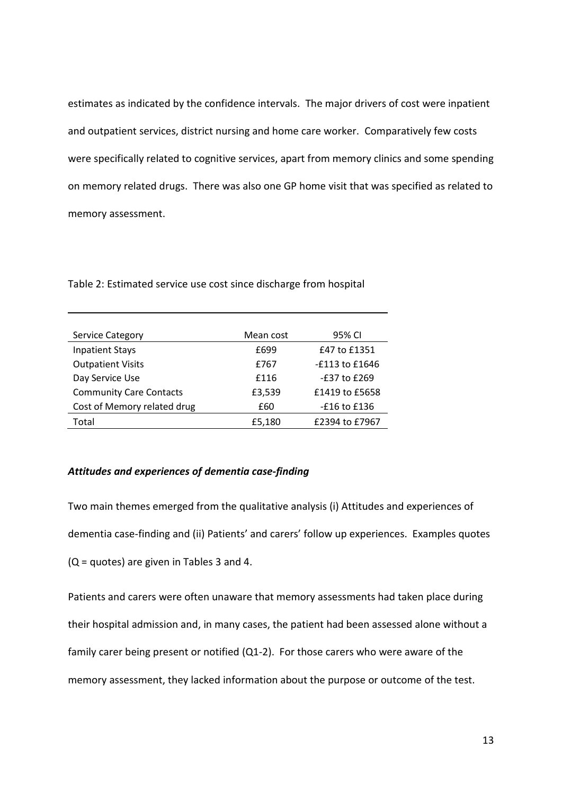estimates as indicated by the confidence intervals. The major drivers of cost were inpatient and outpatient services, district nursing and home care worker. Comparatively few costs were specifically related to cognitive services, apart from memory clinics and some spending on memory related drugs. There was also one GP home visit that was specified as related to memory assessment.

| <b>Service Category</b>        | Mean cost | 95% CI           |
|--------------------------------|-----------|------------------|
| <b>Inpatient Stays</b>         | £699      | £47 to £1351     |
| <b>Outpatient Visits</b>       | £767      | -£113 to £1646   |
| Day Service Use                | £116      | $-£37$ to $£269$ |
| <b>Community Care Contacts</b> | £3,539    | £1419 to £5658   |
| Cost of Memory related drug    | £60       | -£16 to £136     |
| Total                          | £5,180    | £2394 to £7967   |

Table 2: Estimated service use cost since discharge from hospital

## *Attitudes and experiences of dementia case-finding*

Two main themes emerged from the qualitative analysis (i) Attitudes and experiences of dementia case-finding and (ii) Patients' and carers' follow up experiences. Examples quotes (Q = quotes) are given in Tables 3 and 4.

Patients and carers were often unaware that memory assessments had taken place during their hospital admission and, in many cases, the patient had been assessed alone without a family carer being present or notified (Q1-2). For those carers who were aware of the memory assessment, they lacked information about the purpose or outcome of the test.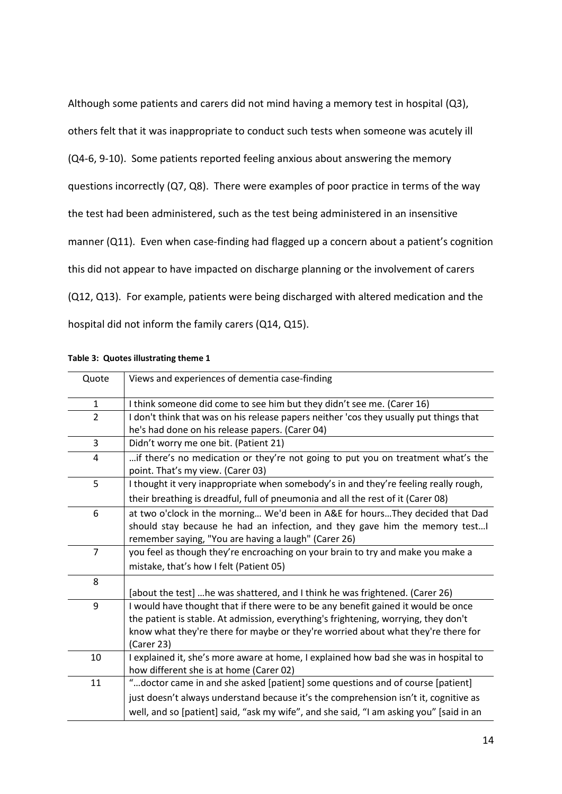Although some patients and carers did not mind having a memory test in hospital (Q3), others felt that it was inappropriate to conduct such tests when someone was acutely ill (Q4-6, 9-10). Some patients reported feeling anxious about answering the memory questions incorrectly (Q7, Q8). There were examples of poor practice in terms of the way the test had been administered, such as the test being administered in an insensitive manner (Q11). Even when case-finding had flagged up a concern about a patient's cognition this did not appear to have impacted on discharge planning or the involvement of carers (Q12, Q13). For example, patients were being discharged with altered medication and the hospital did not inform the family carers (Q14, Q15).

| Quote          | Views and experiences of dementia case-finding                                          |  |
|----------------|-----------------------------------------------------------------------------------------|--|
| $\mathbf{1}$   | I think someone did come to see him but they didn't see me. (Carer 16)                  |  |
| $\overline{2}$ | I don't think that was on his release papers neither 'cos they usually put things that  |  |
|                | he's had done on his release papers. (Carer 04)                                         |  |
| 3              | Didn't worry me one bit. (Patient 21)                                                   |  |
| 4              | if there's no medication or they're not going to put you on treatment what's the        |  |
|                | point. That's my view. (Carer 03)                                                       |  |
| 5              | I thought it very inappropriate when somebody's in and they're feeling really rough,    |  |
|                | their breathing is dreadful, full of pneumonia and all the rest of it (Carer 08)        |  |
| 6              | at two o'clock in the morning We'd been in A&E for hoursThey decided that Dad           |  |
|                | should stay because he had an infection, and they gave him the memory test I            |  |
|                | remember saying, "You are having a laugh" (Carer 26)                                    |  |
| $\overline{7}$ | you feel as though they're encroaching on your brain to try and make you make a         |  |
|                | mistake, that's how I felt (Patient 05)                                                 |  |
| 8              |                                                                                         |  |
|                | [about the test] he was shattered, and I think he was frightened. (Carer 26)            |  |
| 9              | I would have thought that if there were to be any benefit gained it would be once       |  |
|                | the patient is stable. At admission, everything's frightening, worrying, they don't     |  |
|                | know what they're there for maybe or they're worried about what they're there for       |  |
|                | (Carer 23)                                                                              |  |
| 10             | I explained it, she's more aware at home, I explained how bad she was in hospital to    |  |
|                | how different she is at home (Carer 02)                                                 |  |
| 11             | "doctor came in and she asked [patient] some questions and of course [patient]          |  |
|                | just doesn't always understand because it's the comprehension isn't it, cognitive as    |  |
|                | well, and so [patient] said, "ask my wife", and she said, "I am asking you" [said in an |  |

**Table 3: Quotes illustrating theme 1**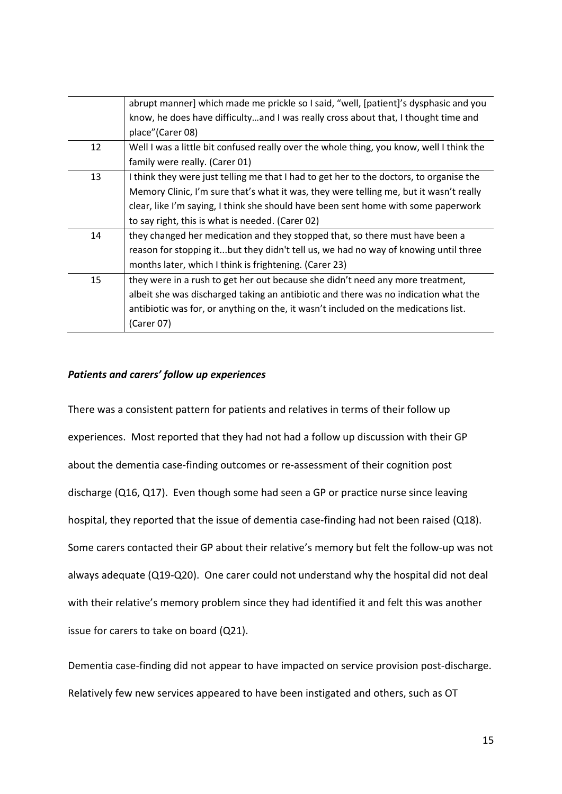|    | abrupt manner] which made me prickle so I said, "well, [patient]'s dysphasic and you     |
|----|------------------------------------------------------------------------------------------|
|    | know, he does have difficultyand I was really cross about that, I thought time and       |
|    | place" (Carer 08)                                                                        |
| 12 | Well I was a little bit confused really over the whole thing, you know, well I think the |
|    | family were really. (Carer 01)                                                           |
| 13 | I think they were just telling me that I had to get her to the doctors, to organise the  |
|    | Memory Clinic, I'm sure that's what it was, they were telling me, but it wasn't really   |
|    | clear, like I'm saying, I think she should have been sent home with some paperwork       |
|    | to say right, this is what is needed. (Carer 02)                                         |
| 14 | they changed her medication and they stopped that, so there must have been a             |
|    | reason for stopping itbut they didn't tell us, we had no way of knowing until three      |
|    | months later, which I think is frightening. (Carer 23)                                   |
| 15 | they were in a rush to get her out because she didn't need any more treatment,           |
|    | albeit she was discharged taking an antibiotic and there was no indication what the      |
|    | antibiotic was for, or anything on the, it wasn't included on the medications list.      |
|    | (Carer 07)                                                                               |

# *Patients and carers' follow up experiences*

There was a consistent pattern for patients and relatives in terms of their follow up experiences. Most reported that they had not had a follow up discussion with their GP about the dementia case-finding outcomes or re-assessment of their cognition post discharge (Q16, Q17). Even though some had seen a GP or practice nurse since leaving hospital, they reported that the issue of dementia case-finding had not been raised (Q18). Some carers contacted their GP about their relative's memory but felt the follow-up was not always adequate (Q19-Q20). One carer could not understand why the hospital did not deal with their relative's memory problem since they had identified it and felt this was another issue for carers to take on board (Q21).

Dementia case-finding did not appear to have impacted on service provision post-discharge. Relatively few new services appeared to have been instigated and others, such as OT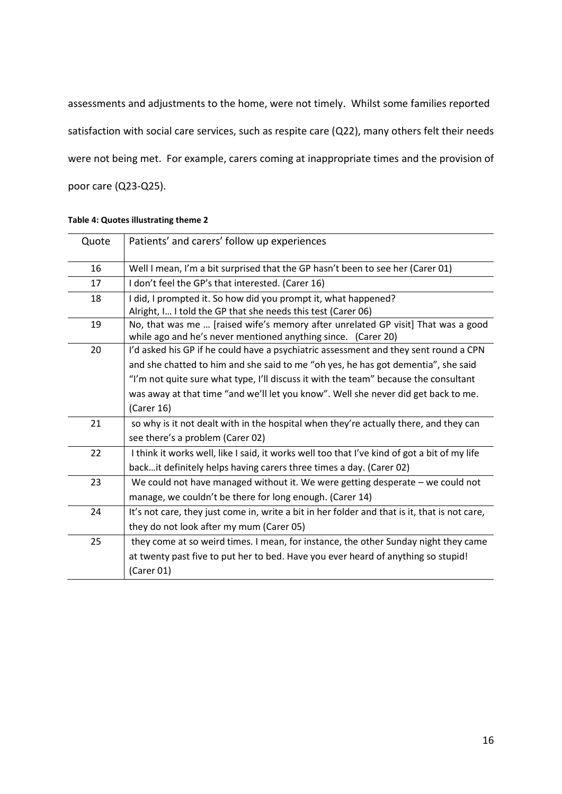assessments and adjustments to the home, were not timely. Whilst some families reported satisfaction with social care services, such as respite care (Q22), many others felt their needs were not being met. For example, carers coming at inappropriate times and the provision of poor care (Q23-Q25).

| Quote | Patients' and carers' follow up experiences                                                                                                                                                                                                                                                                                                                           |
|-------|-----------------------------------------------------------------------------------------------------------------------------------------------------------------------------------------------------------------------------------------------------------------------------------------------------------------------------------------------------------------------|
| 16    | Well I mean, I'm a bit surprised that the GP hasn't been to see her (Carer 01)                                                                                                                                                                                                                                                                                        |
| 17    | I don't feel the GP's that interested. (Carer 16)                                                                                                                                                                                                                                                                                                                     |
| 18    | I did, I prompted it. So how did you prompt it, what happened?<br>Alright, I I told the GP that she needs this test (Carer 06)                                                                                                                                                                                                                                        |
| 19    | No, that was me  [raised wife's memory after unrelated GP visit] That was a good<br>while ago and he's never mentioned anything since. (Carer 20)                                                                                                                                                                                                                     |
| 20    | I'd asked his GP if he could have a psychiatric assessment and they sent round a CPN<br>and she chatted to him and she said to me "oh yes, he has got dementia", she said<br>"I'm not quite sure what type, I'll discuss it with the team" because the consultant<br>was away at that time "and we'll let you know". Well she never did get back to me.<br>(Carer 16) |
| 21    | so why is it not dealt with in the hospital when they're actually there, and they can<br>see there's a problem (Carer 02)                                                                                                                                                                                                                                             |
| 22    | I think it works well, like I said, it works well too that I've kind of got a bit of my life<br>backit definitely helps having carers three times a day. (Carer 02)                                                                                                                                                                                                   |
| 23    | We could not have managed without it. We were getting desperate - we could not<br>manage, we couldn't be there for long enough. (Carer 14)                                                                                                                                                                                                                            |
| 24    | It's not care, they just come in, write a bit in her folder and that is it, that is not care,<br>they do not look after my mum (Carer 05)                                                                                                                                                                                                                             |
| 25    | they come at so weird times. I mean, for instance, the other Sunday night they came<br>at twenty past five to put her to bed. Have you ever heard of anything so stupid!<br>(Carer 01)                                                                                                                                                                                |

#### **Table 4: Quotes illustrating theme 2**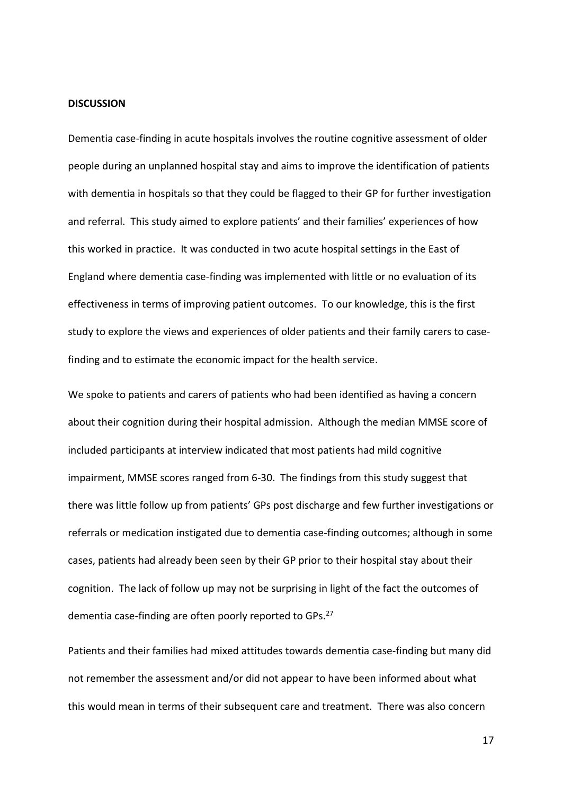#### **DISCUSSION**

Dementia case-finding in acute hospitals involves the routine cognitive assessment of older people during an unplanned hospital stay and aims to improve the identification of patients with dementia in hospitals so that they could be flagged to their GP for further investigation and referral. This study aimed to explore patients' and their families' experiences of how this worked in practice. It was conducted in two acute hospital settings in the East of England where dementia case-finding was implemented with little or no evaluation of its effectiveness in terms of improving patient outcomes. To our knowledge, this is the first study to explore the views and experiences of older patients and their family carers to casefinding and to estimate the economic impact for the health service.

We spoke to patients and carers of patients who had been identified as having a concern about their cognition during their hospital admission. Although the median MMSE score of included participants at interview indicated that most patients had mild cognitive impairment, MMSE scores ranged from 6-30. The findings from this study suggest that there was little follow up from patients' GPs post discharge and few further investigations or referrals or medication instigated due to dementia case-finding outcomes; although in some cases, patients had already been seen by their GP prior to their hospital stay about their cognition. The lack of follow up may not be surprising in light of the fact the outcomes of dementia case-finding are often poorly reported to GPs.<sup>27</sup>

Patients and their families had mixed attitudes towards dementia case-finding but many did not remember the assessment and/or did not appear to have been informed about what this would mean in terms of their subsequent care and treatment. There was also concern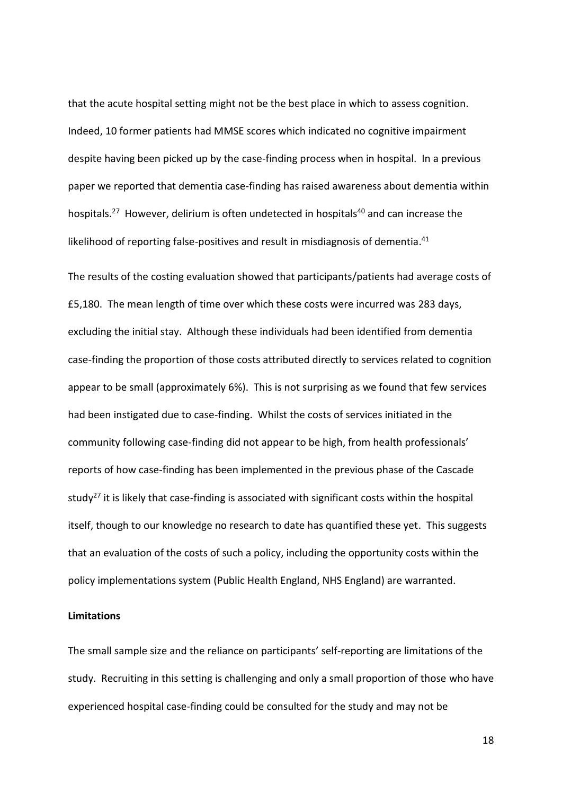that the acute hospital setting might not be the best place in which to assess cognition. Indeed, 10 former patients had MMSE scores which indicated no cognitive impairment despite having been picked up by the case-finding process when in hospital. In a previous paper we reported that dementia case-finding has raised awareness about dementia within hospitals.<sup>27</sup> However, delirium is often undetected in hospitals<sup>40</sup> and can increase the likelihood of reporting false-positives and result in misdiagnosis of dementia. 41

The results of the costing evaluation showed that participants/patients had average costs of £5,180. The mean length of time over which these costs were incurred was 283 days, excluding the initial stay. Although these individuals had been identified from dementia case-finding the proportion of those costs attributed directly to services related to cognition appear to be small (approximately 6%). This is not surprising as we found that few services had been instigated due to case-finding. Whilst the costs of services initiated in the community following case-finding did not appear to be high, from health professionals' reports of how case-finding has been implemented in the previous phase of the Cascade study<sup>27</sup> it is likely that case-finding is associated with significant costs within the hospital itself, though to our knowledge no research to date has quantified these yet. This suggests that an evaluation of the costs of such a policy, including the opportunity costs within the policy implementations system (Public Health England, NHS England) are warranted.

# **Limitations**

The small sample size and the reliance on participants' self-reporting are limitations of the study. Recruiting in this setting is challenging and only a small proportion of those who have experienced hospital case-finding could be consulted for the study and may not be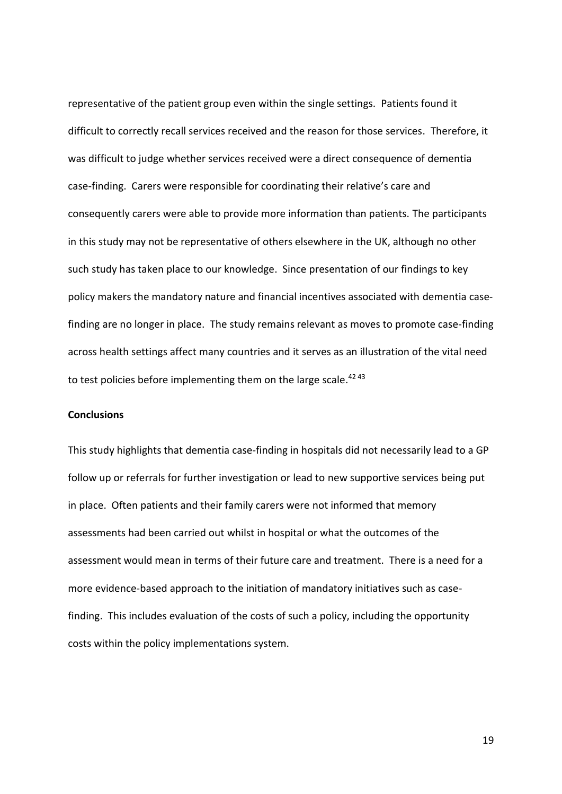representative of the patient group even within the single settings. Patients found it difficult to correctly recall services received and the reason for those services. Therefore, it was difficult to judge whether services received were a direct consequence of dementia case-finding. Carers were responsible for coordinating their relative's care and consequently carers were able to provide more information than patients. The participants in this study may not be representative of others elsewhere in the UK, although no other such study has taken place to our knowledge. Since presentation of our findings to key policy makers the mandatory nature and financial incentives associated with dementia casefinding are no longer in place. The study remains relevant as moves to promote case-finding across health settings affect many countries and it serves as an illustration of the vital need to test policies before implementing them on the large scale.<sup>42 43</sup>

## **Conclusions**

This study highlights that dementia case-finding in hospitals did not necessarily lead to a GP follow up or referrals for further investigation or lead to new supportive services being put in place. Often patients and their family carers were not informed that memory assessments had been carried out whilst in hospital or what the outcomes of the assessment would mean in terms of their future care and treatment. There is a need for a more evidence-based approach to the initiation of mandatory initiatives such as casefinding. This includes evaluation of the costs of such a policy, including the opportunity costs within the policy implementations system.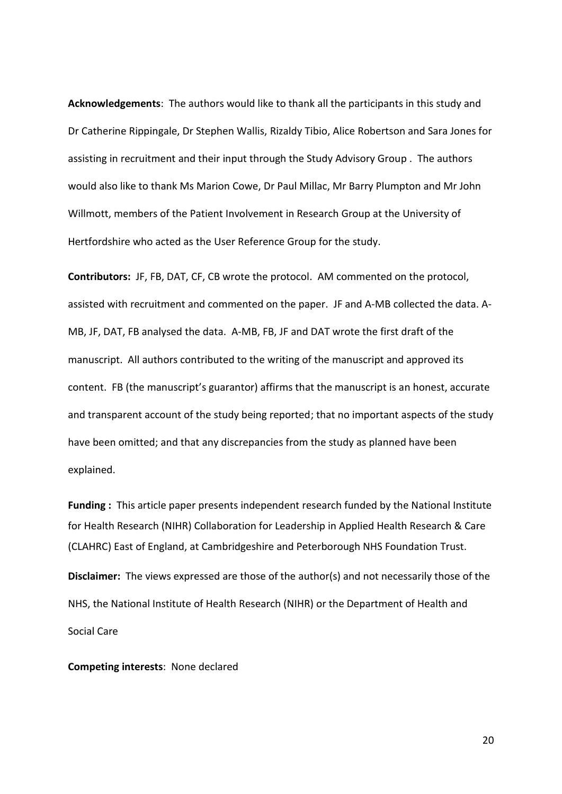**Acknowledgements**: The authors would like to thank all the participants in this study and Dr Catherine Rippingale, Dr Stephen Wallis, Rizaldy Tibio, Alice Robertson and Sara Jones for assisting in recruitment and their input through the Study Advisory Group . The authors would also like to thank Ms Marion Cowe, Dr Paul Millac, Mr Barry Plumpton and Mr John Willmott, members of the Patient Involvement in Research Group at the University of Hertfordshire who acted as the User Reference Group for the study.

**Contributors:** JF, FB, DAT, CF, CB wrote the protocol. AM commented on the protocol, assisted with recruitment and commented on the paper. JF and A-MB collected the data. A-MB, JF, DAT, FB analysed the data. A-MB, FB, JF and DAT wrote the first draft of the manuscript. All authors contributed to the writing of the manuscript and approved its content. FB (the manuscript's guarantor) affirms that the manuscript is an honest, accurate and transparent account of the study being reported; that no important aspects of the study have been omitted; and that any discrepancies from the study as planned have been explained.

**Funding :** This article paper presents independent research funded by the National Institute for Health Research (NIHR) Collaboration for Leadership in Applied Health Research & Care (CLAHRC) East of England, at Cambridgeshire and Peterborough NHS Foundation Trust.

**Disclaimer:** The views expressed are those of the author(s) and not necessarily those of the NHS, the National Institute of Health Research (NIHR) or the Department of Health and Social Care

**Competing interests**: None declared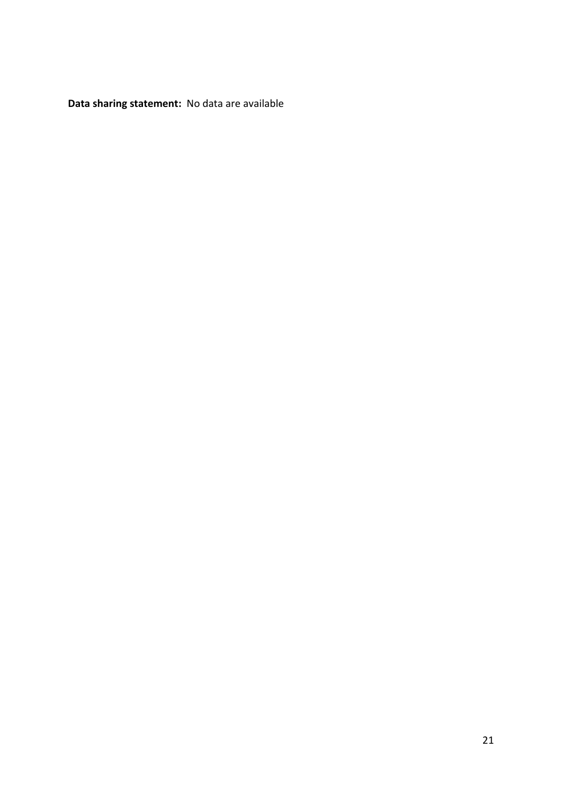**Data sharing statement:** No data are available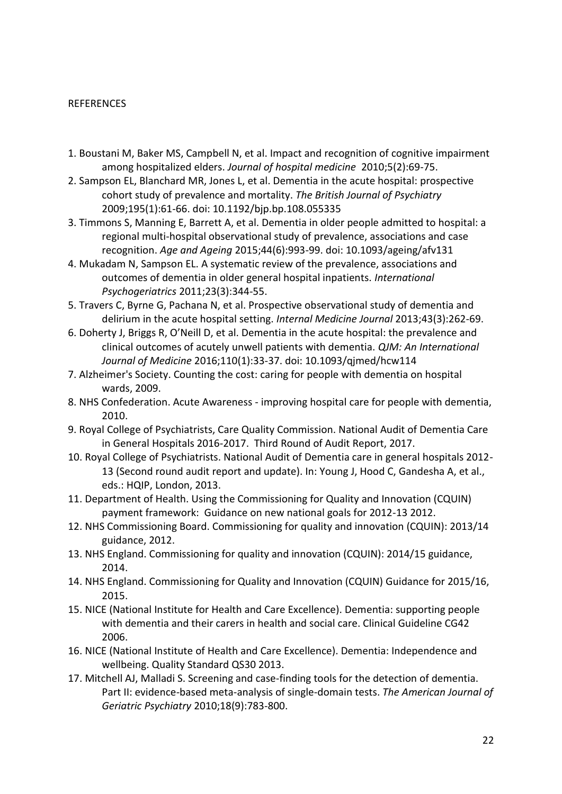# REFERENCES

- 1. Boustani M, Baker MS, Campbell N, et al. Impact and recognition of cognitive impairment among hospitalized elders. *Journal of hospital medicine* 2010;5(2):69-75.
- 2. Sampson EL, Blanchard MR, Jones L, et al. Dementia in the acute hospital: prospective cohort study of prevalence and mortality. *The British Journal of Psychiatry* 2009;195(1):61-66. doi: 10.1192/bjp.bp.108.055335
- 3. Timmons S, Manning E, Barrett A, et al. Dementia in older people admitted to hospital: a regional multi-hospital observational study of prevalence, associations and case recognition. *Age and Ageing* 2015;44(6):993-99. doi: 10.1093/ageing/afv131
- 4. Mukadam N, Sampson EL. A systematic review of the prevalence, associations and outcomes of dementia in older general hospital inpatients. *International Psychogeriatrics* 2011;23(3):344-55.
- 5. Travers C, Byrne G, Pachana N, et al. Prospective observational study of dementia and delirium in the acute hospital setting. *Internal Medicine Journal* 2013;43(3):262-69.
- 6. Doherty J, Briggs R, O'Neill D, et al. Dementia in the acute hospital: the prevalence and clinical outcomes of acutely unwell patients with dementia. *QJM: An International Journal of Medicine* 2016;110(1):33-37. doi: 10.1093/qjmed/hcw114
- 7. Alzheimer's Society. Counting the cost: caring for people with dementia on hospital wards, 2009.
- 8. NHS Confederation. Acute Awareness improving hospital care for people with dementia, 2010.
- 9. Royal College of Psychiatrists, Care Quality Commission. National Audit of Dementia Care in General Hospitals 2016-2017. Third Round of Audit Report, 2017.
- 10. Royal College of Psychiatrists. National Audit of Dementia care in general hospitals 2012- 13 (Second round audit report and update). In: Young J, Hood C, Gandesha A, et al., eds.: HQIP, London, 2013.
- 11. Department of Health. Using the Commissioning for Quality and Innovation (CQUIN) payment framework: Guidance on new national goals for 2012-13 2012.
- 12. NHS Commissioning Board. Commissioning for quality and innovation (CQUIN): 2013/14 guidance, 2012.
- 13. NHS England. Commissioning for quality and innovation (CQUIN): 2014/15 guidance, 2014.
- 14. NHS England. Commissioning for Quality and Innovation (CQUIN) Guidance for 2015/16, 2015.
- 15. NICE (National Institute for Health and Care Excellence). Dementia: supporting people with dementia and their carers in health and social care. Clinical Guideline CG42 2006.
- 16. NICE (National Institute of Health and Care Excellence). Dementia: Independence and wellbeing. Quality Standard QS30 2013.
- 17. Mitchell AJ, Malladi S. Screening and case-finding tools for the detection of dementia. Part II: evidence-based meta-analysis of single-domain tests. *The American Journal of Geriatric Psychiatry* 2010;18(9):783-800.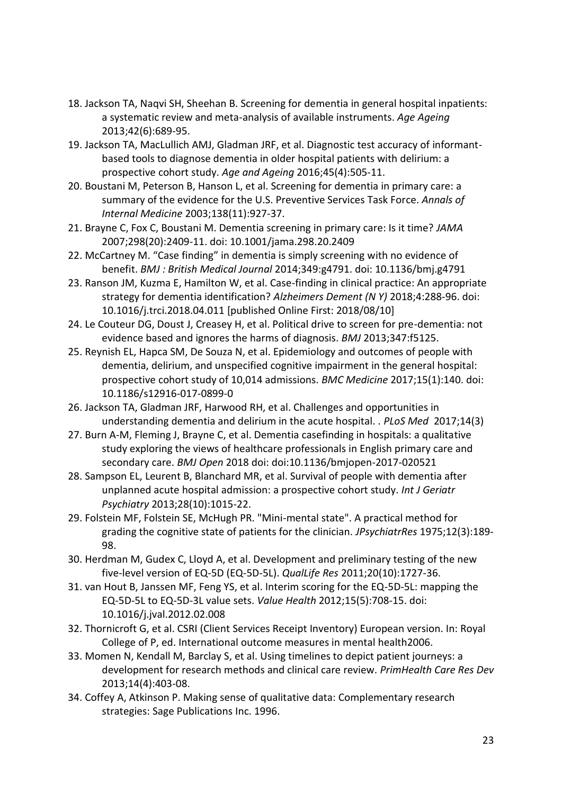- 18. Jackson TA, Naqvi SH, Sheehan B. Screening for dementia in general hospital inpatients: a systematic review and meta-analysis of available instruments. *Age Ageing* 2013;42(6):689-95.
- 19. Jackson TA, MacLullich AMJ, Gladman JRF, et al. Diagnostic test accuracy of informantbased tools to diagnose dementia in older hospital patients with delirium: a prospective cohort study. *Age and Ageing* 2016;45(4):505-11.
- 20. Boustani M, Peterson B, Hanson L, et al. Screening for dementia in primary care: a summary of the evidence for the U.S. Preventive Services Task Force. *Annals of Internal Medicine* 2003;138(11):927-37.
- 21. Brayne C, Fox C, Boustani M. Dementia screening in primary care: Is it time? *JAMA* 2007;298(20):2409-11. doi: 10.1001/jama.298.20.2409
- 22. McCartney M. "Case finding" in dementia is simply screening with no evidence of benefit. *BMJ : British Medical Journal* 2014;349:g4791. doi: 10.1136/bmj.g4791
- 23. Ranson JM, Kuzma E, Hamilton W, et al. Case-finding in clinical practice: An appropriate strategy for dementia identification? *Alzheimers Dement (N Y)* 2018;4:288-96. doi: 10.1016/j.trci.2018.04.011 [published Online First: 2018/08/10]
- 24. Le Couteur DG, Doust J, Creasey H, et al. Political drive to screen for pre-dementia: not evidence based and ignores the harms of diagnosis. *BMJ* 2013;347:f5125.
- 25. Reynish EL, Hapca SM, De Souza N, et al. Epidemiology and outcomes of people with dementia, delirium, and unspecified cognitive impairment in the general hospital: prospective cohort study of 10,014 admissions. *BMC Medicine* 2017;15(1):140. doi: 10.1186/s12916-017-0899-0
- 26. Jackson TA, Gladman JRF, Harwood RH, et al. Challenges and opportunities in understanding dementia and delirium in the acute hospital. . *PLoS Med* 2017;14(3)
- 27. Burn A-M, Fleming J, Brayne C, et al. Dementia casefinding in hospitals: a qualitative study exploring the views of healthcare professionals in English primary care and secondary care. *BMJ Open* 2018 doi: doi:10.1136/bmjopen-2017-020521
- 28. Sampson EL, Leurent B, Blanchard MR, et al. Survival of people with dementia after unplanned acute hospital admission: a prospective cohort study. *Int J Geriatr Psychiatry* 2013;28(10):1015-22.
- 29. Folstein MF, Folstein SE, McHugh PR. "Mini-mental state". A practical method for grading the cognitive state of patients for the clinician. *JPsychiatrRes* 1975;12(3):189- 98.
- 30. Herdman M, Gudex C, Lloyd A, et al. Development and preliminary testing of the new five-level version of EQ-5D (EQ-5D-5L). *QualLife Res* 2011;20(10):1727-36.
- 31. van Hout B, Janssen MF, Feng YS, et al. Interim scoring for the EQ-5D-5L: mapping the EQ-5D-5L to EQ-5D-3L value sets. *Value Health* 2012;15(5):708-15. doi: 10.1016/j.jval.2012.02.008
- 32. Thornicroft G, et al. CSRI (Client Services Receipt Inventory) European version. In: Royal College of P, ed. International outcome measures in mental health2006.
- 33. Momen N, Kendall M, Barclay S, et al. Using timelines to depict patient journeys: a development for research methods and clinical care review. *PrimHealth Care Res Dev* 2013;14(4):403-08.
- 34. Coffey A, Atkinson P. Making sense of qualitative data: Complementary research strategies: Sage Publications Inc. 1996.